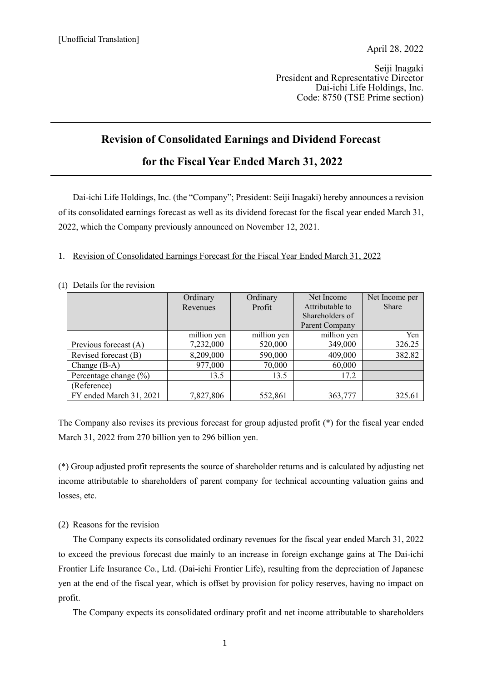Seiji Inagaki President and Representative Director Dai-ichi Life Holdings, Inc. Code: 8750 (TSE Prime section)

# **Revision of Consolidated Earnings and Dividend Forecast**

# **for the Fiscal Year Ended March 31, 2022**

Dai-ichi Life Holdings, Inc. (the "Company"; President: Seiji Inagaki) hereby announces a revision of its consolidated earnings forecast as well as its dividend forecast for the fiscal year ended March 31, 2022, which the Company previously announced on November 12, 2021.

### 1. Revision of Consolidated Earnings Forecast for the Fiscal Year Ended March 31, 2022

#### (1) Details for the revision

|                           | Ordinary    | Ordinary    | Net Income      | Net Income per |
|---------------------------|-------------|-------------|-----------------|----------------|
|                           | Revenues    | Profit      | Attributable to | <b>Share</b>   |
|                           |             |             | Shareholders of |                |
|                           |             |             | Parent Company  |                |
|                           | million yen | million yen | million yen     | Yen            |
| Previous forecast (A)     | 7,232,000   | 520,000     | 349,000         | 326.25         |
| Revised forecast (B)      | 8,209,000   | 590,000     | 409,000         | 382.82         |
| Change $(B-A)$            | 977,000     | 70,000      | 60,000          |                |
| Percentage change $(\% )$ | 13.5        | 13.5        | 17.2            |                |
| (Reference)               |             |             |                 |                |
| FY ended March 31, 2021   | 7,827,806   | 552,861     | 363,777         | 325.61         |

The Company also revises its previous forecast for group adjusted profit (\*) for the fiscal year ended March 31, 2022 from 270 billion yen to 296 billion yen.

(\*) Group adjusted profit represents the source of shareholder returns and is calculated by adjusting net income attributable to shareholders of parent company for technical accounting valuation gains and losses, etc.

#### (2) Reasons for the revision

The Company expects its consolidated ordinary revenues for the fiscal year ended March 31, 2022 to exceed the previous forecast due mainly to an increase in foreign exchange gains at The Dai-ichi Frontier Life Insurance Co., Ltd. (Dai-ichi Frontier Life), resulting from the depreciation of Japanese yen at the end of the fiscal year, which is offset by provision for policy reserves, having no impact on profit.

The Company expects its consolidated ordinary profit and net income attributable to shareholders